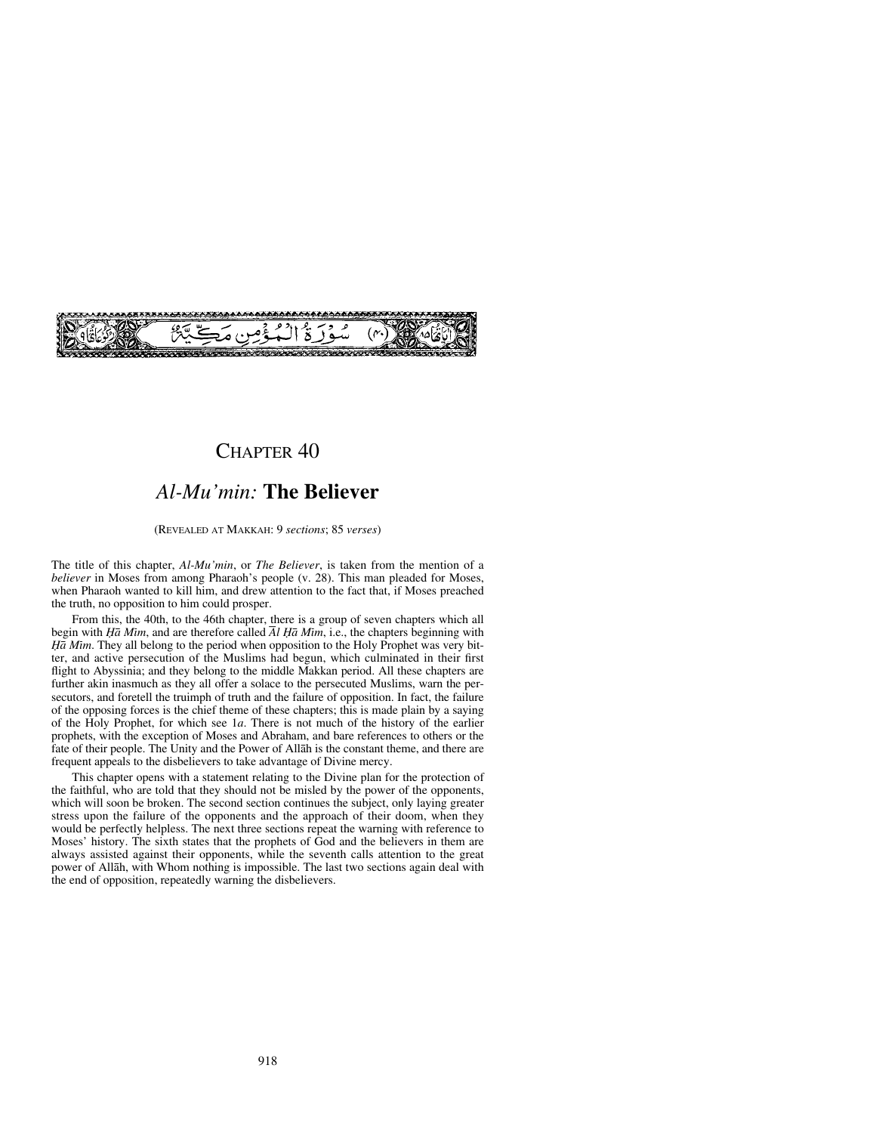

## CHAPTER 40

# *Al-Mu'min:* **The Believer**

#### (REVEALED AT MAKKAH: 9 *sections*; 85 *verses*)

The title of this chapter, *Al-Mu'min*, or *The Believer*, is taken from the mention of a *believer* in Moses from among Pharaoh's people (v. 28). This man pleaded for Moses, when Pharaoh wanted to kill him, and drew attention to the fact that, if Moses preached the truth, no opposition to him could prosper.

From this, the 40th, to the 46th chapter, there is a group of seven chapters which all begin with  $H\bar{a}$  Mim, and are therefore called  $\bar{A}l$   $H\bar{a}$  Mim, i.e., the chapters beginning with *Ïå Mßm*. They all belong to the period when opposition to the Holy Prophet was very bitter, and active persecution of the Muslims had begun, which culminated in their first flight to Abyssinia; and they belong to the middle Makkan period. All these chapters are further akin inasmuch as they all offer a solace to the persecuted Muslims, warn the persecutors, and foretell the truimph of truth and the failure of opposition. In fact, the failure of the opposing forces is the chief theme of these chapters; this is made plain by a saying of the Holy Prophet, for which see 1*a*. There is not much of the history of the earlier prophets, with the exception of Moses and Abraham, and bare references to others or the fate of their people. The Unity and the Power of Allåh is the constant theme, and there are frequent appeals to the disbelievers to take advantage of Divine mercy.

This chapter opens with a statement relating to the Divine plan for the protection of the faithful, who are told that they should not be misled by the power of the opponents, which will soon be broken. The second section continues the subject, only laying greater stress upon the failure of the opponents and the approach of their doom, when they would be perfectly helpless. The next three sections repeat the warning with reference to Moses' history. The sixth states that the prophets of God and the believers in them are always assisted against their opponents, while the seventh calls attention to the great power of Allåh, with Whom nothing is impossible. The last two sections again deal with the end of opposition, repeatedly warning the disbelievers.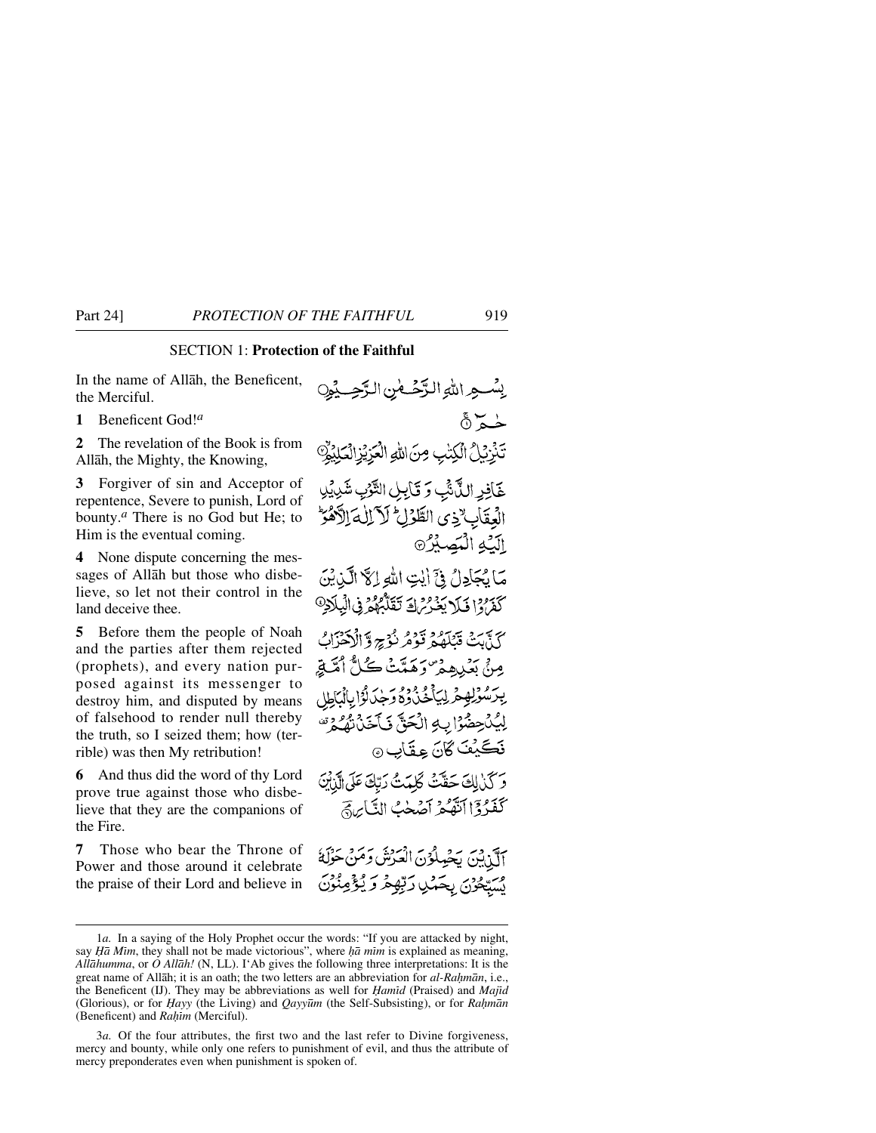### SECTION 1: **Protection of the Faithful**

In the name of Allåh, the Beneficent, the Merciful.

**1** Beneficent God!*<sup>a</sup>*

**2** The revelation of the Book is from Allåh, the Mighty, the Knowing,

**3** Forgiver of sin and Acceptor of repentence, Severe to punish, Lord of bounty.*<sup>a</sup>* There is no God but He; to Him is the eventual coming.

**4** None dispute concerning the messages of Allåh but those who disbelieve, so let not their control in the land deceive thee.

**5** Before them the people of Noah and the parties after them rejected (prophets), and every nation purposed against its messenger to destroy him, and disputed by means of falsehood to render null thereby the truth, so I seized them; how (terrible) was then My retribution!

**6** And thus did the word of thy Lord prove true against those who disbelieve that they are the companions of the Fire.

**7** Those who bear the Throne of Power and those around it celebrate the praise of their Lord and believe in

يِسْسِهِ اللهِ الرَّحْسَانِ الرَّحِي حُــم ۞ تَّذِيْلُ الْكِتْبِ مِنَ اللَّهِ الْعَزِيْزِ الْعَلِيْوِ خَافِرِ اللَّاشِّ وَتَكْلِلِ التَّوْبِ شَدِيْلِ العقاب وى الطَّرْلِ لَا لِلهَ الْأَهْرَ اليَّهِ الْبَصِيْرُ® مَا يُجَادِلُ فِيٍّ أَيْتِ اللَّهِ إِلَّا الَّذِيْنَ كَفَرُوْا فَبَلَا يَغْدُرُهَا فَتَقَلَّّهُمْ فِي الْبِلَادِ @ كَذَّبَتْ قَتْلَهُمْ قَوْمُ نُؤْجِ وَٱلْآَهَزَابُ مِنْ بَعْبِيهِمْ ۖ وَهَمَّتْ كُلُّ أَمَّتَةٍ برَسُولِهِمْ لِيَأْخُذُوهُ وَجْدَلُوْا بِالْبَاطِلِ لِيُدْحِضُوْا بِهِ الْحَقِّ فَأَخَذْتُهُ وَمُ نَكَيْفَ كَانَ عِقَابٍ ۞ وَكَذَٰ لِكَ حَقَّتْ كَلَّمَتُ رَبَّكَ عَلَى الَّذِبْنَ كَفَدُدًّا أَنَّهُكُّمُ أَصُحْبُ النَّابِنِيَّ آلَنْ يَنِّ يَجْمِلُوْنَ الْعَرْشَ وَمَنْ حَوْلَةُ يَسَبِّعُونَ بِحَمْلِ رَبِّهِمْ وَ يُؤْمِنُونَ

<sup>1</sup>*a.* In a saying of the Holy Prophet occur the words: "If you are attacked by night, say *H* $\bar{a}$  *Mim*, they shall not be made victorious", where  $\bar{h}\bar{a}$  mim is explained as meaning, *Allåhumma*, or *O Allåh!* (N, LL). I'Ab gives the following three interpretations: It is the great name of Allāh; it is an oath; the two letters are an abbreviation for *al-Rahmān*, i.e., the Beneficent (IJ). They may be abbreviations as well for *Hamid* (Praised) and *Majid* (Glorious), or for *Ïayy* (the Living) and *Qayy∂m* (the Self-Subsisting), or for *Ra√mån* (Beneficent) and *Rahim* (Merciful).

<sup>3</sup>*a.* Of the four attributes, the first two and the last refer to Divine forgiveness, mercy and bounty, while only one refers to punishment of evil, and thus the attribute of mercy preponderates even when punishment is spoken of.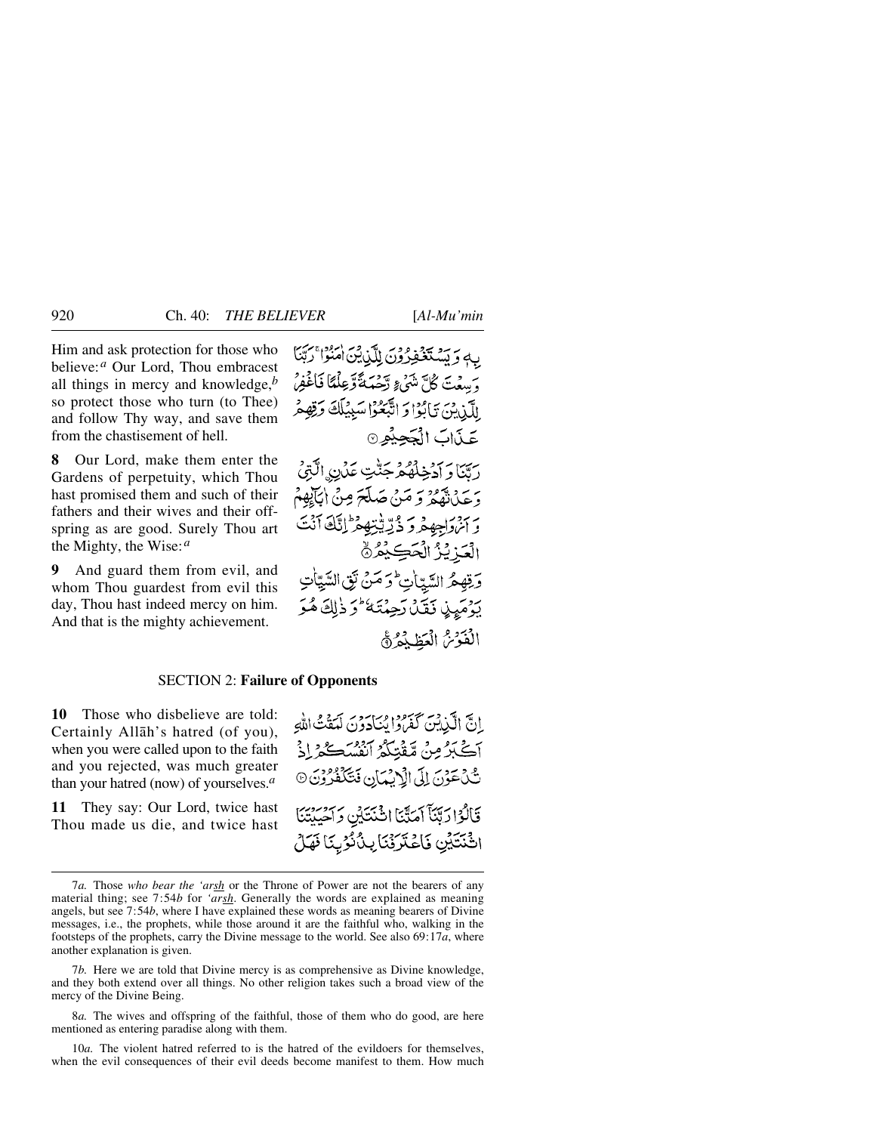Him and ask protection for those who believe:*<sup>a</sup>* Our Lord, Thou embracest all things in mercy and knowledge,*<sup>b</sup>* so protect those who turn (to Thee) and follow Thy way, and save them from the chastisement of hell.

**8** Our Lord, make them enter the Gardens of perpetuity, which Thou hast promised them and such of their fathers and their wives and their offspring as are good. Surely Thou art the Mighty, the Wise:*<sup>a</sup>*

**9** And guard them from evil, and whom Thou guardest from evil this day, Thou hast indeed mercy on him. And that is the mighty achievement.

فيفرون للّذرقين امبودا بمرَّتنا وَسِعْتَ كُلَّ شَيْءٍ رَّحْمَةً تَّوَعِلُّمَّا فَأَغْفِرُ لِلَّذِينَ تَأْبُوْا وَ اتَّبَعُوْا سَبِيْلَكَ وَقِهِ عَذَابَ الْجَحِيْمِينَ دِينَا وَ آدْخِلْهُمْ جَنَّتِ عَدْنِ الَّتِيْ وَ عَدْيَ تَقْعُرُ وَ مَنْ صَلَّحَ مِنْ إِيَانِكُمْ بِهِ مَنْ الْمُؤْمِنُ وَدَيْتِهِ يَوْسَلِيْكَ آَنَتَ الْعَدْ يُزُ الْحَڪِيْعُرُ۞ وَقِهِهُ السَّبَاٰتِ وَ مَنْ نَقِ السَّيَّاتِ يَدْمَيِنِ نَقَيْلُ رَحِمْتَهُ وَذٰلِكَ هُوَ الْفَوْمُ الْعَظِيْمَ ﴾

#### SECTION 2: **Failure of Opponents**

**10** Those who disbelieve are told: Certainly Allåh's hatred (of you), when you were called upon to the faith and you rejected, was much greater than your hatred (now) of yourselves.*<sup>a</sup>*

**11** They say: Our Lord, twice hast Thou made us die, and twice hast إِنَّ الَّذِينَ كَفَرَوْا مِنَا َدَوْنَ لَهَفْتُ اللَّهِ آڪٽِرُ مِنْ مُقْتِلَةُ آنفُسُڪُهُ اِذْ تَّنْ عَوْنَ إِلَى الْأَبِيْهَانِ فَتَكَفَّرُوْنَ ۞ قَالُوْارَيِّنَا آمَدَّنَا انْتَنَايِنِ وَآَحِيِيْنَا اثْنَتَيْنِ فَاعْتَرِفْنَا بِنُلُّوُبِنَا فَهَلْ

8*a.* The wives and offspring of the faithful, those of them who do good, are here mentioned as entering paradise along with them.

10*a.* The violent hatred referred to is the hatred of the evildoers for themselves, when the evil consequences of their evil deeds become manifest to them. How much

<sup>7</sup>*a.* Those *who bear the 'arsh* or the Throne of Power are not the bearers of any material thing; see 7:54*b* for *'arsh*. Generally the words are explained as meaning angels, but see 7:54*b*, where I have explained these words as meaning bearers of Divine messages, i.e., the prophets, while those around it are the faithful who, walking in the footsteps of the prophets, carry the Divine message to the world. See also 69:17*a*, where another explanation is given.

<sup>7</sup>*b.* Here we are told that Divine mercy is as comprehensive as Divine knowledge, and they both extend over all things. No other religion takes such a broad view of the mercy of the Divine Being.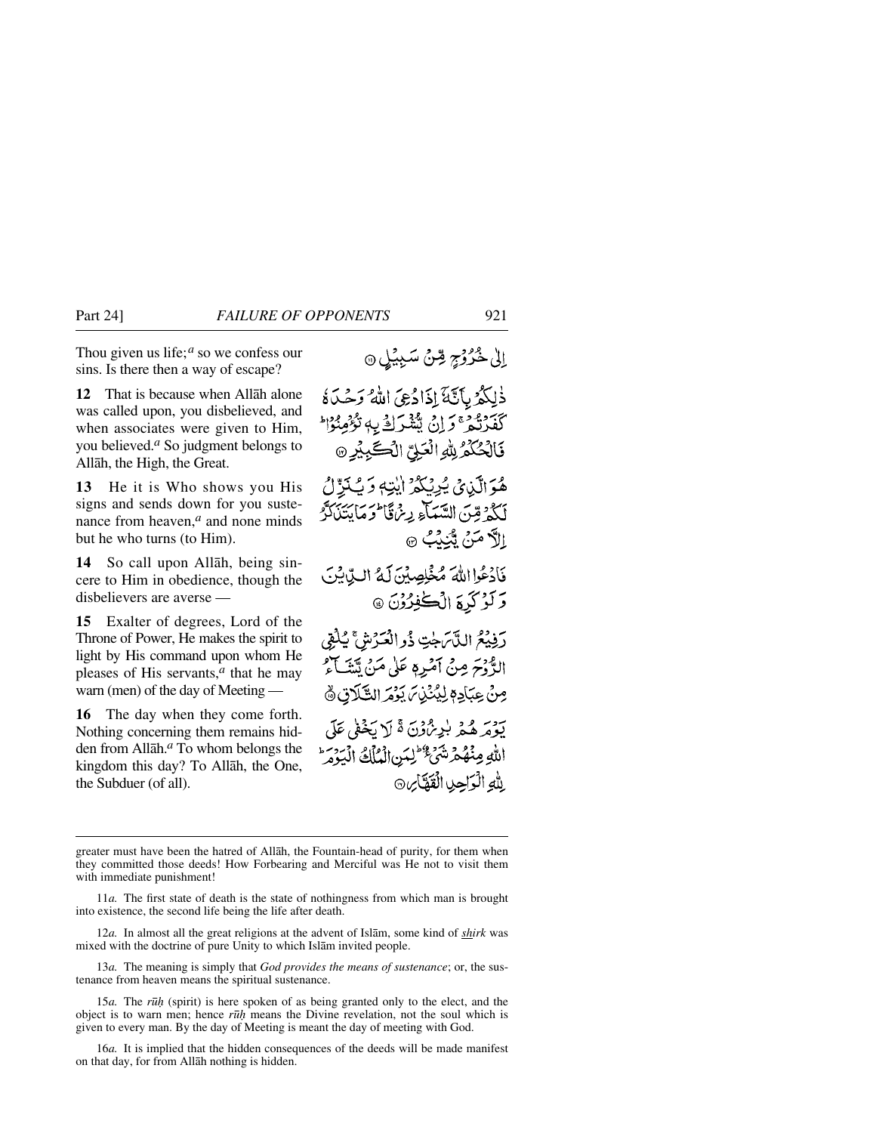Thou given us life;*<sup>a</sup>* so we confess our sins. Is there then a way of escape?

**12** That is because when Allåh alone was called upon, you disbelieved, and when associates were given to Him, you believed.*<sup>a</sup>* So judgment belongs to Allåh, the High, the Great.

**13** He it is Who shows you His signs and sends down for you sustenance from heaven,<sup>*a*</sup> and none minds but he who turns (to Him).

**14** So call upon Allåh, being sincere to Him in obedience, though the disbelievers are averse —

**15** Exalter of degrees, Lord of the Throne of Power, He makes the spirit to light by His command upon whom He pleases of His servants,*<sup>a</sup>* that he may warn (men) of the day of Meeting —

**16** The day when they come forth. Nothing concerning them remains hidden from Allåh.*<sup>a</sup>* To whom belongs the kingdom this day? To Allåh, the One, the Subduer (of all).

الله الوَاحِيا الْقَطَّابِنِ ﴾

إِلَىٰ خُرُوۡجٍ قِنۡنَ سَبِيۡيَٰلِ ۞

greater must have been the hatred of Allåh, the Fountain-head of purity, for them when they committed those deeds! How Forbearing and Merciful was He not to visit them with immediate punishment!

11*a.* The first state of death is the state of nothingness from which man is brought into existence, the second life being the life after death.

12*a.* In almost all the great religions at the advent of Islåm, some kind of *shirk* was mixed with the doctrine of pure Unity to which Islåm invited people.

13*a.* The meaning is simply that *God provides the means of sustenance*; or, the sustenance from heaven means the spiritual sustenance.

15*a.* The *r∂√* (spirit) is here spoken of as being granted only to the elect, and the object is to warn men; hence *r∂ƒ* means the Divine revelation, not the soul which is given to every man. By the day of Meeting is meant the day of meeting with God.

16*a.* It is implied that the hidden consequences of the deeds will be made manifest on that day, for from Allåh nothing is hidden.

ذٰلِكُمُ بِآيَّةَ إِذَادُعِيَ اللَّهُ وَحَكَاةُ كَفَرَدْ وَإِنْ يُشْرَكَ بِهٖ تَؤْمِنُوْا فَالْحُكْمُ لِلَّهِ الْعَلِيِّ الْكَيْبِيْرِ @ هُوَ الَّذِي يُرِيْكُمُ إِيْتِهِ وَيُكَرِّلُ لَكُمْ قِنَ السَّبَكَّ بِهِ مِنْ قَالَتِهَا يَتَلَكَّرُ اللَّا مَنْ يُبْنِدُبُ ۞ فَأَدْعُوا اللَّهَ مُخْلِصِيْنَ لَمْ البِّابِيْنَ وَكَّرْكُرِيَّ الْكُفْلُوْنَ @ رَفِيْعُ اللَّاسَ جٰتِ ذُو الْعَدَّشَ ۚ يُٰلُقِي الزَّوْحَ مِنْ آمْرِهِ عَلَىٰ مَنْ تِينَا كَمُّ مِنْ عِبَادِمِ لِيُنْذِينَ يَوْمَرِ الشَّلَاقِ ﴾ يَوْمَرِ هُمْ بِلِيرُ، وْنَ ةَ لَا يَخْفَى عَلَى اللهِ مِنْهُمْ شَيْءٌ لِلَّذِي الْمُلْكُ الْبَدْهَ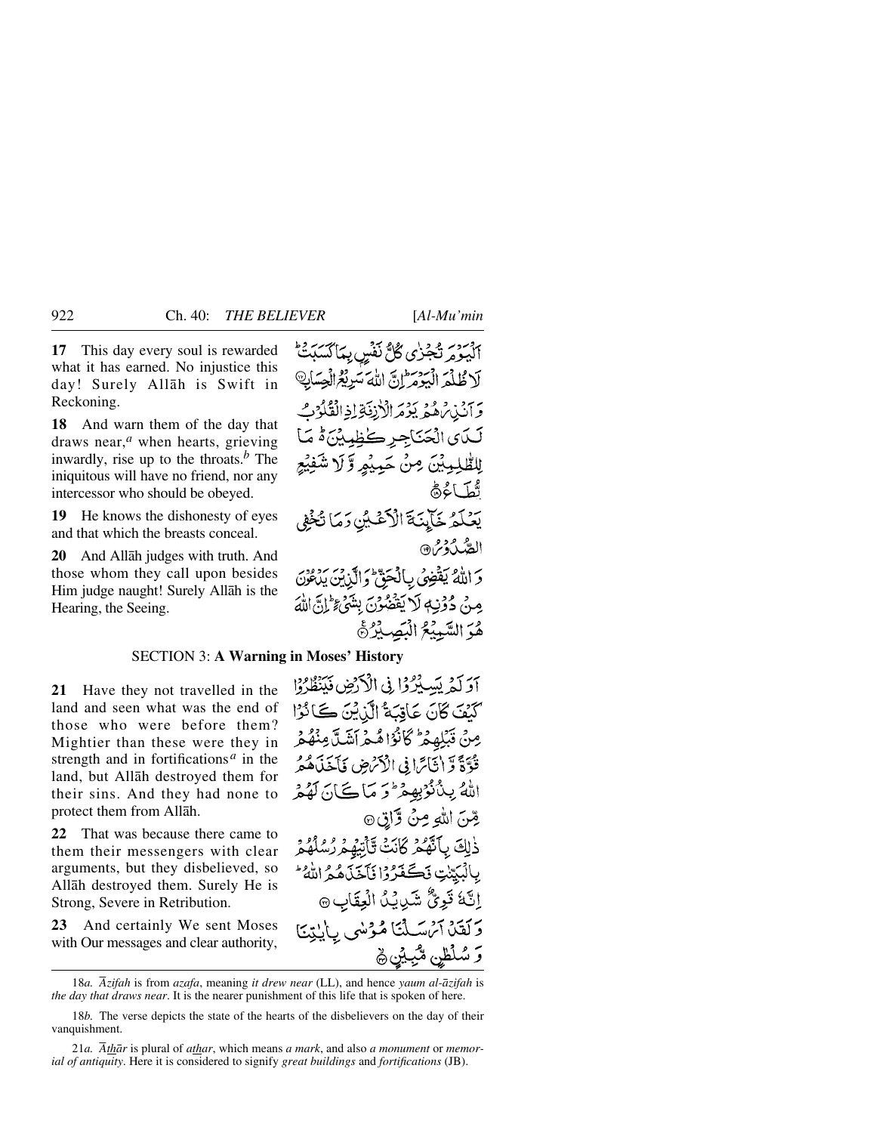**17** This day every soul is rewarded what it has earned. No injustice this day! Surely Allåh is Swift in Reckoning.

**18** And warn them of the day that draws near,*<sup>a</sup>* when hearts, grieving inwardly, rise up to the throats.*<sup>b</sup>* The iniquitous will have no friend, nor any intercessor who should be obeyed.

**19** He knows the dishonesty of eyes and that which the breasts conceal.

**20** And Allåh judges with truth. And those whom they call upon besides Him judge naught! Surely Allåh is the Hearing, the Seeing.

اليومر تَجْزٰى كُلُّ نَفْسٍ بِمَاكَسَبَتْ لَا ظُلْمَ الْبَوْمَ إِنَّ اللَّهَ سَرِيْعُ الْحِسَابِ وَآنَنْ تُرْهُمْ يَوْمَرَ الْأَرْفَةِ لِذِالْقُلُوْبُ لَـدَى الْحَنَاجِرِ كَظِيِينَ هُ مَـا لِلطَّلِمِيثِينَ مِنْ حَمِيثِهِ وَّ لَا شَفِيْعِ تُطَاءُهُ يَعْلَمُ خَآيِنَةَ الْأَعْلَيْنِ رَمَا تُخْفِي الصَّدْدُرُ @ وَاللَّهُ يَقْضِى بِالْحَقِّ وَالَّذِينَ يَدْعُنَ مِنْ دُوْنِيَةِ لَا يَقْضُوْنَ بِشَيْءٍ إِلَيْ اللَّهَ هُوَ السَّمِيْعُ الْبَصِيْرُ؟

#### SECTION 3: **A Warning in Moses' History**

**21** Have they not travelled in the land and seen what was the end of those who were before them? Mightier than these were they in strength and in fortifications *<sup>a</sup>* in the land, but Allåh destroyed them for their sins. And they had none to protect them from Allåh.

**22** That was because there came to them their messengers with clear arguments, but they disbelieved, so Allåh destroyed them. Surely He is Strong, Severe in Retribution.

**23** And certainly We sent Moses with Our messages and clear authority, آؤكثر بَسَبْرُوْا فِي الْأَدْضِ فَيَنْظُرُوْا كَنْفَ كَانَ عَاقِبَةُ الَّذِيْنَ كَانَوْا مِنْ قَبْلِهِمْ كَانْزَاهُمْ آشَلَّ مِنْهُمْ قُوَّةً وَّ إِنَّائِرَا فِي الْأَمْرُضِ فَأَخَذَهُمْ اللهُ بِبِنْ نُوْبِهِمْ وَمَ يَا كَانَ لَهُمْ قِنَ اللهِ مِنْ وَّاتِ۞ ذٰلِكَ بِٱنَّهُمُ كَانَتْ تَأْتِيْهِمْ رُسُلُهُمْ بِالْبَيِّنْتِ نَكَفَّرُوْا نَآخَذَهُمْ اللَّهُ ۖ إِنَّهُ تَوِيٌّ شَدِيبُكُ الْعِقَابِ ۞ وَلَقَدْ آَمُ سَلَّنَا مُؤْسَى بِالْبِيْنَا وَ سُلُطْنٍ مُّبِيَّنٍ ﴾

<sup>18</sup>*a. Åzifah* is from *azafa*, meaning *it drew near* (LL), and hence *yaum al-åzifah* is *the day that draws near*. It is the nearer punishment of this life that is spoken of here.

<sup>18</sup>*b.* The verse depicts the state of the hearts of the disbelievers on the day of their vanquishment.

<sup>21</sup>*a. Åthår* is plural of *athar*, which means *a mark*, and also *a monument* or *memorial of antiquity*. Here it is considered to signify *great buildings* and *fortifications* (JB).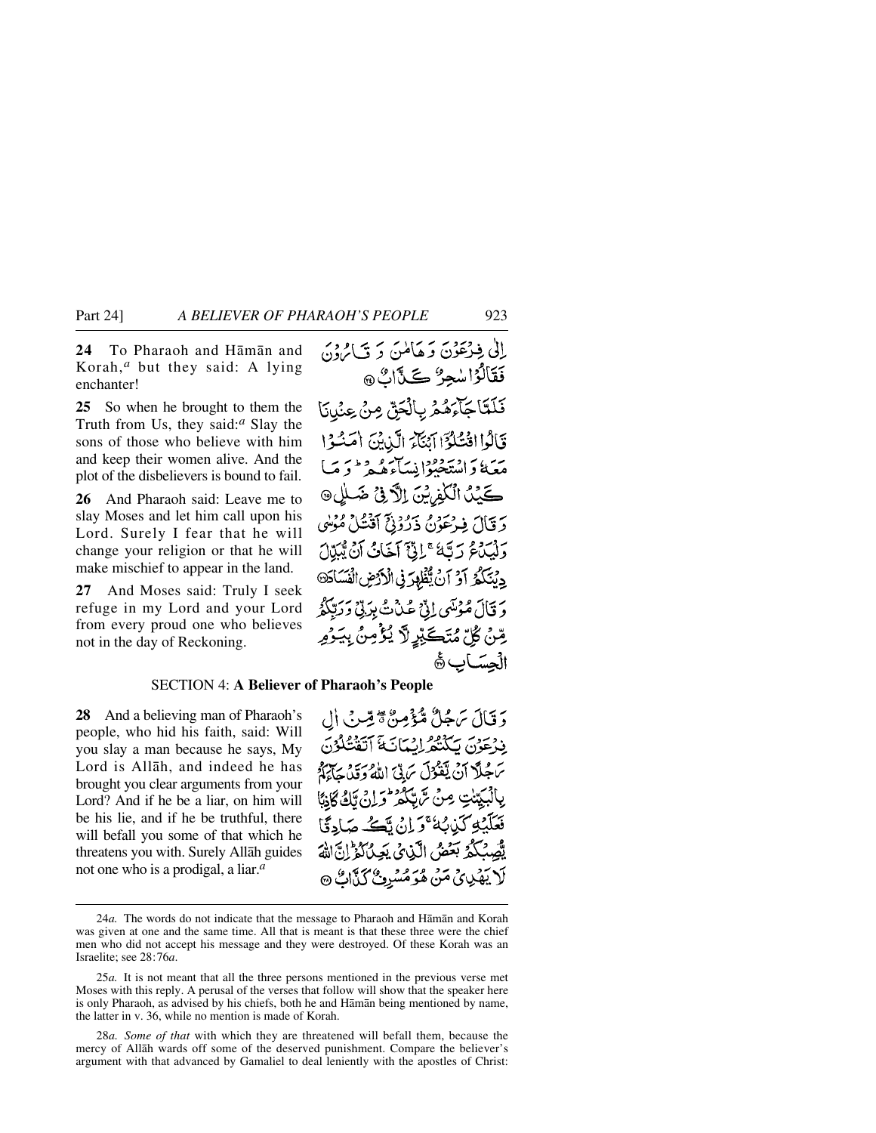**24** To Pharaoh and Håmån and Korah,*<sup>a</sup>* but they said: A lying enchanter!

**25** So when he brought to them the Truth from Us, they said:*<sup>a</sup>* Slay the sons of those who believe with him and keep their women alive. And the plot of the disbelievers is bound to fail.

**26** And Pharaoh said: Leave me to slay Moses and let him call upon his Lord. Surely I fear that he will change your religion or that he will make mischief to appear in the land.

**27** And Moses said: Truly I seek refuge in my Lord and your Lord from every proud one who believes not in the day of Reckoning.

#### SECTION 4: **A Believer of Pharaoh's People**

**28** And a believing man of Pharaoh's people, who hid his faith, said: Will you slay a man because he says, My Lord is Allåh, and indeed he has brought you clear arguments from your Lord? And if he be a liar, on him will be his lie, and if he be truthful, there will befall you some of that which he threatens you with. Surely Allåh guides not one who is a prodigal, a liar.*<sup>a</sup>*

دَ قَالَ سَجُلٌ مُّؤْمِنٌ مِّ قِبْ فِي أَلِ بِذِعَوْنَ بِكَنْتُمُ إِنْسَانَةَ ٱتَقْتُلُوْنَ بِرِ مِلَّا أَنْ يَقْوُلَ بِرَبِّيِّ اللَّهُ وَقَدْ جَاءَكُمْ بِّكُمْ وَإِنْ تَكُ كَاذِبًا بِأَلْمِيَتِنْتِ مِنْ سَ فَعَلَيْكِ كَيْدِيْهُ وَإِنْ قَبْحُهُ صَادِقًا يَّصِبُكُمُ بَعُضُ الَّذِيْ يَعِنْ كُمِّ إِنَّ اللَّهَ لَا يَهْدِيْ مَنْ هُوَمُسُرِيٌّ كَيْأَاتٌ ۞

<sup>24</sup>*a.* The words do not indicate that the message to Pharaoh and Håmån and Korah was given at one and the same time. All that is meant is that these three were the chief men who did not accept his message and they were destroyed. Of these Korah was an Israelite; see 28:76*a*.

<sup>25</sup>*a.* It is not meant that all the three persons mentioned in the previous verse met Moses with this reply. A perusal of the verses that follow will show that the speaker here is only Pharaoh, as advised by his chiefs, both he and Håmån being mentioned by name, the latter in v. 36, while no mention is made of Korah.

<sup>28</sup>*a. Some of that* with which they are threatened will befall them, because the mercy of Allåh wards off some of the deserved punishment. Compare the believer's argument with that advanced by Gamaliel to deal leniently with the apostles of Christ: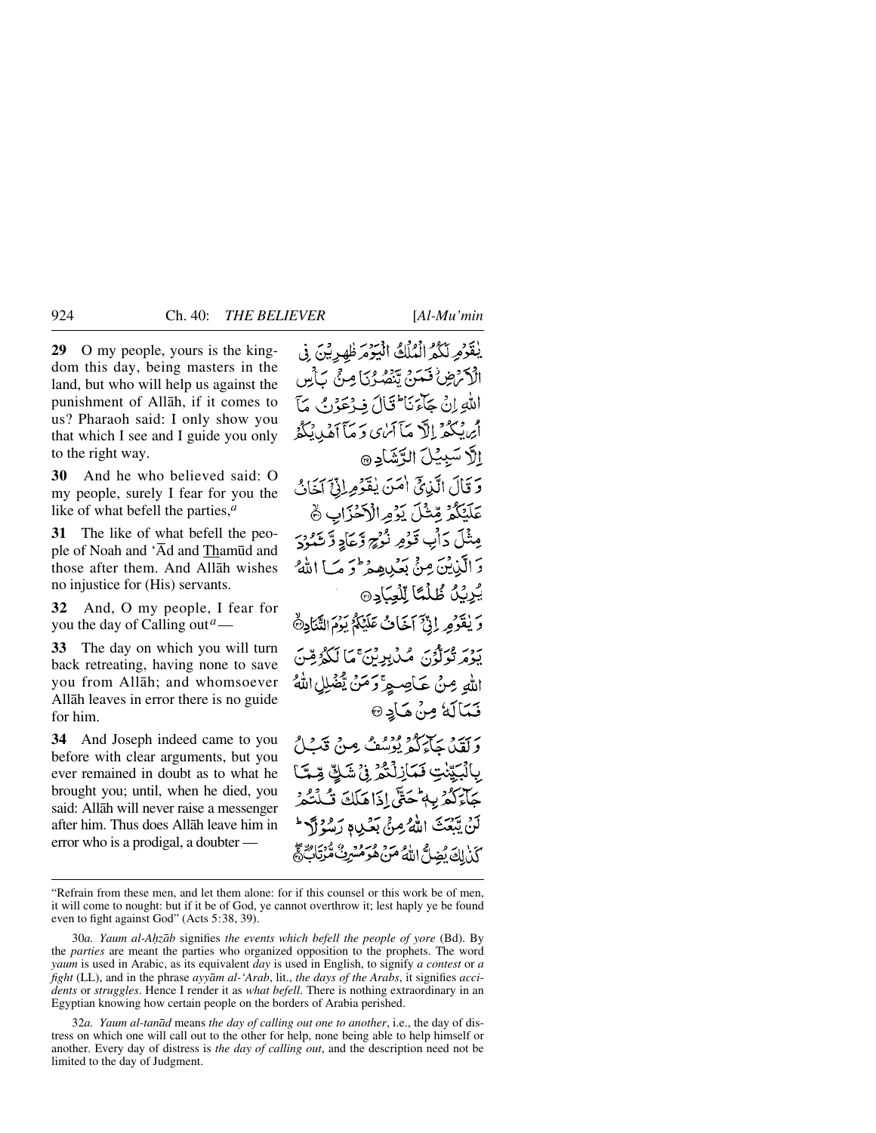**29** O my people, yours is the kingdom this day, being masters in the land, but who will help us against the punishment of Allåh, if it comes to us? Pharaoh said: I only show you that which I see and I guide you only to the right way.

**30** And he who believed said: O my people, surely I fear for you the like of what befell the parties,*<sup>a</sup>*

**31** The like of what befell the people of Noah and 'Ād and Thamūd and those after them. And Allåh wishes no injustice for (His) servants.

**32** And, O my people, I fear for you the day of Calling out*a*—

**33** The day on which you will turn back retreating, having none to save you from Allåh; and whomsoever Allåh leaves in error there is no guide for him.

**34** And Joseph indeed came to you before with clear arguments, but you ever remained in doubt as to what he brought you; until, when he died, you said: Allåh will never raise a messenger after him. Thus does Allåh leave him in error who is a prodigal, a doubter —

يْقَوْمِ لَكُمُ الْمُلْكُ الْيَوْمَ ظْهِرِيْنَ فِي الْأَكْرَضِ فَسَنَّ يَنْصُرُنَا مِنْ يَأْسِ اللهِ إِنْ جَآءَ نَا تَالَ فِيهُ عَوْنَ مَأَ أيرنبكم الآبمآ آيري وَ مَأَ أَهْدِنِكُمُ إلَّا سَبِيْلَ الرَّشَادِ @ وَقَالَ الَّذِيَّ امَنَ يُقَوِّمِ إِنَّ آخَانُ عَلَيْكُمْ مِّثْلَ يَزْمِرالْأَخْزَابِ ۞ مِثْلَ دَأْبٍ قَوْمٍ نُوْجٍ وَّعَادِ وَّ شَيْرَدَ دَ الَّذِينَ مِنْيَ بَعَيْدِهِ مِرْحَمَ مَبَا اللَّهُ يُرِيِّلُ طُلْمًا لِّلْعِبَادِ @ دَ يٰقَوْمِهِ إِنَّيْ آخَافُ عَلَيْكُمُ يَوْمَ الثَّنَادِةُ يَهُورُ فَوَلَوْنَ مِكْ بِدِيْنَ مَا لَكُمْ مِنْنَ اللهِ مِنْ عَاصِيةِ ۚ وَمَنْ يُّضْلِلِ اللهُ فَمَالَهُ مِنْ مَادِ @ بربيره برسم ودود .<br>وَلَقَيْنَ جَاءَكُمْ يُوسُفُ مِنْ قَبْلُ بِالْبَيِّنْتِ فَمَازِلْنَّهُ فِي شَكِّ قِمَّا جَآءَكُمْ بِهِمْحَتَّى إِذَاهَلَكَ قُبِلْتُكُمْ لَنْ يِّبَعْثَ اللَّهُ مِنْ بَعُبِي رَسُوْلَ؟ كَذِيكَ يُضِلُّ اللَّهُ مَنْ هُرَ مُسْرِئٌ مُّرْتِابٌ فَي

32*a. Yaum al-tanåd* means *the day of calling out one to another*, i.e., the day of distress on which one will call out to the other for help, none being able to help himself or another. Every day of distress is *the day of calling out*, and the description need not be limited to the day of Judgment.

<sup>&</sup>quot;Refrain from these men, and let them alone: for if this counsel or this work be of men, it will come to nought: but if it be of God, ye cannot overthrow it; lest haply ye be found even to fight against God" (Acts 5:38, 39).

<sup>30</sup>*a. Yaum al-A√zåb* signifies *the events which befell the people of yore* (Bd). By the *parties* are meant the parties who organized opposition to the prophets. The word *yaum* is used in Arabic, as its equivalent *day* is used in English, to signify *a contest* or *a fight* (LL), and in the phrase *ayyåm al-'Arab*, lit., *the days of the Arabs*, it signifies *accidents* or *struggles*. Hence I render it as *what befell*. There is nothing extraordinary in an Egyptian knowing how certain people on the borders of Arabia perished.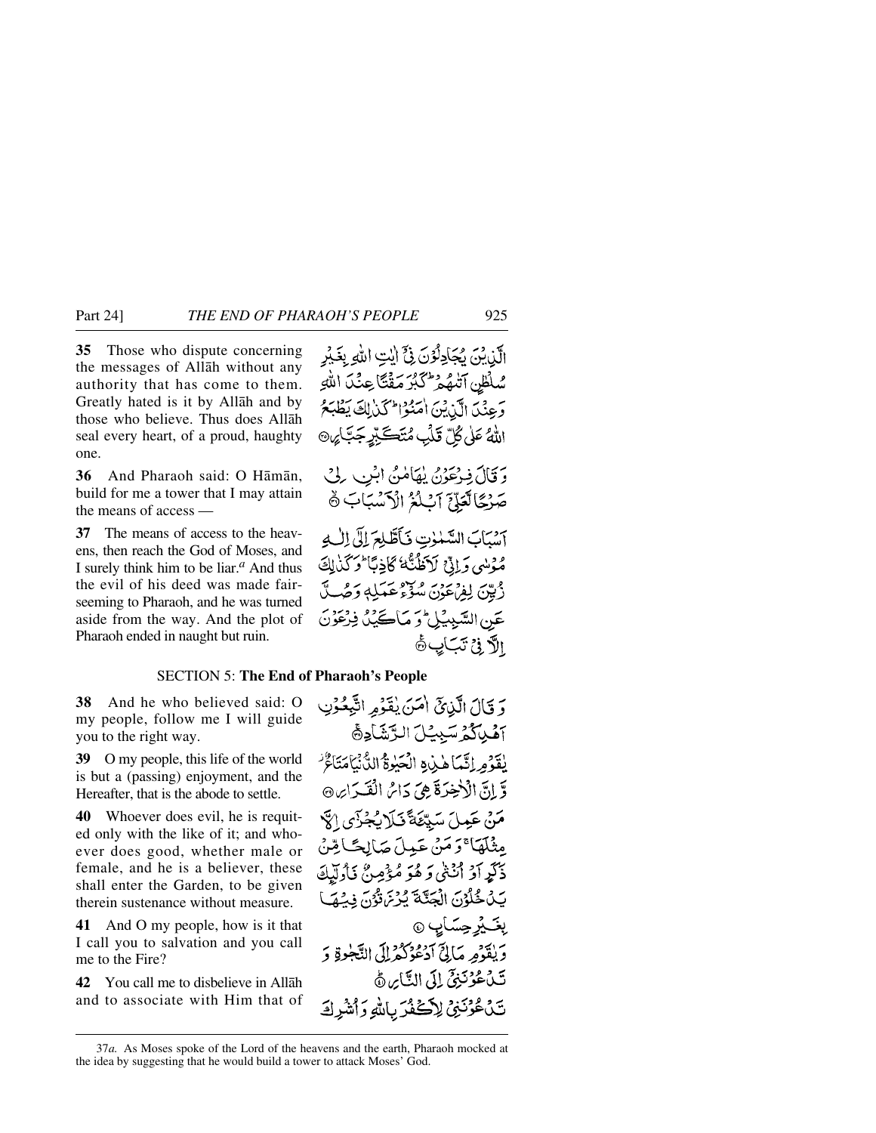**35** Those who dispute concerning the messages of Allåh without any authority that has come to them. Greatly hated is it by Allåh and by those who believe. Thus does Allåh seal every heart, of a proud, haughty one.

**36** And Pharaoh said: O Håmån, build for me a tower that I may attain the means of access —

**37** The means of access to the heavens, then reach the God of Moses, and I surely think him to be liar.*<sup>a</sup>* And thus the evil of his deed was made fairseeming to Pharaoh, and he was turned aside from the way. And the plot of Pharaoh ended in naught but ruin.

#### SECTION 5: **The End of Pharaoh's People**

**38** And he who believed said: O my people, follow me I will guide you to the right way.

**39** O my people, this life of the world is but a (passing) enjoyment, and the Hereafter, that is the abode to settle.

**40** Whoever does evil, he is requited only with the like of it; and whoever does good, whether male or female, and he is a believer, these shall enter the Garden, to be given therein sustenance without measure.

**41** And O my people, how is it that I call you to salvation and you call me to the Fire?

**42** You call me to disbelieve in Allåh and to associate with Him that of وَ قَالَ الَّذِيقَ أَمَنَ يُقَوِّمِ اتَّبِعُوۡنِ آهُيْكُمُ سَبِيَّلَ الرَّشَادِةَ يفوَوِراتَمَا هٰذِهِ الْحَيْرَةُ الدُّنْيَامَتَاعٌ وَّ إِنَّ الْأَحْضَرَةَ هِيَ دَائِرُ الْقَيْدَايِرِ ۞ مَنْ عَمِيلَ سَيِّئَةً فَبَلَا بُجُزْيِ الْآ مِثْلَهَا ۚ دَ مَنْ عَمِيلَ صَالِحًـا مِّنْ ذَكَرٍ أَوْ أَنْثَىٰ وَ هُوَ مُؤْمِنٌ نَأُولَيْكَ يَدْخُلُوْنَ الْجَنَّةَ يُرْيَ وُّوْنَ فِيْهَا *پٽيز*وسَاپ ۞ وَيْقَوْمِ مَالِيٍّ آدْعُوْكُمْ إِلَى النَّجْرِةِ وَ تَ كَمُؤْنَنِيٍّ إِلَى النَّاسِ هُ تَنْ عُرُّنَيْنُ لِأَكْفُرَ بِاللهِ وَأَشْرِكَ

<sup>37</sup>*a.* As Moses spoke of the Lord of the heavens and the earth, Pharaoh mocked at the idea by suggesting that he would build a tower to attack Moses' God.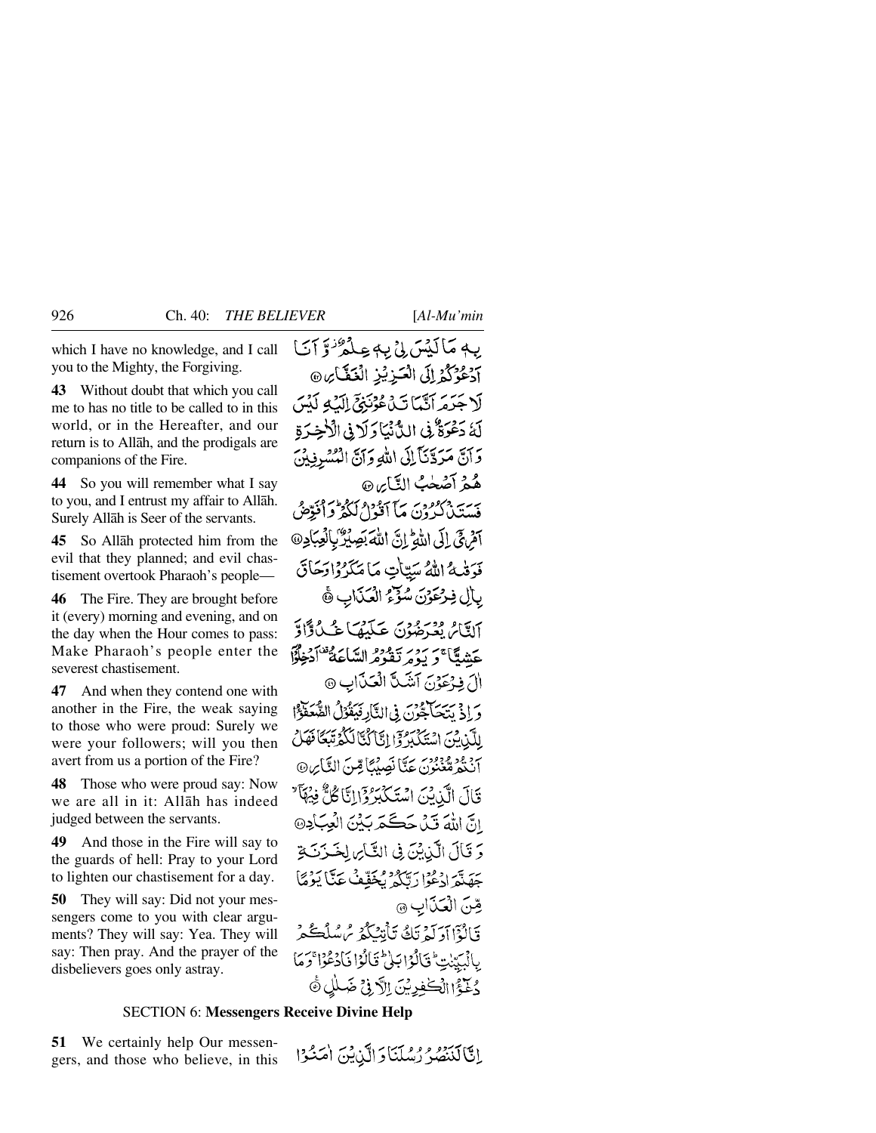which I have no knowledge, and I call you to the Mighty, the Forgiving.

**43** Without doubt that which you call me to has no title to be called to in this world, or in the Hereafter, and our return is to Allåh, and the prodigals are companions of the Fire.

**44** So you will remember what I say to you, and I entrust my affair to Allåh. Surely Allåh is Seer of the servants.

**45** So Allåh protected him from the evil that they planned; and evil chastisement overtook Pharaoh's people—

**46** The Fire. They are brought before it (every) morning and evening, and on the day when the Hour comes to pass: Make Pharaoh's people enter the severest chastisement.

**47** And when they contend one with another in the Fire, the weak saying to those who were proud: Surely we were your followers; will you then avert from us a portion of the Fire?

**48** Those who were proud say: Now we are all in it: Allåh has indeed judged between the servants.

**49** And those in the Fire will say to the guards of hell: Pray to your Lord to lighten our chastisement for a day.

**50** They will say: Did not your messengers come to you with clear arguments? They will say: Yea. They will say: Then pray. And the prayer of the disbelievers goes only astray.

بِهِ مَاكِيْسَ بِيْ بِهِ عِبْدُهُ ٰوَّ آيَا ادعوكوراتي التزيز التكاير، لَاجَدَمَ أَنَّبَآ تَدۡ هُوۡنَهُمۡٓ إِلَيۡ لَمُنۡسَ لَهُ دَعْرَةٌ فِي الدَّنْيَا رَلَا فِي الْأَخِرَةِ وَآنَّ مَرَدَّنَاً إِلَى اللهِ وَآنَّ الْمُسْرِفِيْنَ هُمْ أَصْعٰبُ النَّايِرِ @ بِرِيَّةٍ مُعْرُودِينَ مَا آَوُدُوا لَكُوْ وَأَفَوِّقُ آمْنِ فِي إِلَى اللَّهِ إِنَّ اللَّهَ بَصِيْرٌ بِالْعِبَادِ @ فَوَقْبِهُ اللَّهُ سَتِيَاتٍ مَا مَكَرْدُاوَجَاقَ بِالِ فِرْعَوْنَ سُؤْءُ الْعَذَابِ ﴾ آلتَامُ يُعْرَضُوْنَ عَلَيْهَا عُبِّدُوًّا وَّ عَشِيَّا ۚ وَ يَوْمِرْتَقَوْمُ السَّاعَةُ ۚ أَدْخِلْوًا (أَرَفِيْحَدْنَ آتَنَبِيَّ الْعَيْنَابِ @ وَإِذْ يَسْيَاجِحُونَ فِي الثَّارِ فَيَقْوَلُ الصَّعَفَوْ ا لِلَّيْنِ يَنْ اِسْتَكْبَرُ وَإِنَّا َكُنَّا لَكُمْ تَبَكَأُ فَهَلْ بِرْ وُدٍ وَدِوْرٍ بِحَدَّا نَصِيْبَاً قِينَ النَّابِرِ۞ قَالَ الَّذِيْنَ اسْتَكْبَرُ وَإِلَيَّا كُلُّ فِيْهَا ۖ انَّ اللَّهَ قَيْ حَكَّمَ بَيْنَ الْعِبَادِ@ وَ قَالَ الَّذِيْنَ فِي التَّائِ لِخَيْرَنَةِ جَهَنَّهَ ادْعُوْا رَبَّكُمْ يُخَفِّفْ عَنَّا يَوْمًا قِنَ الْعَذَابِ @ قَالَةَ إِدَيْهَ تَكُ تَأْتِبُكُمْ مُ سُلُكُمْ يالْبَيّنتِ فَالْوَابَلْى قَالُوْا فَادْعُوْا وَمَا دُنَيْءُ الْكَنْفِدِيْنَ الْآدِفِيِّ ضَبِيلُ ۞

#### SECTION 6: **Messengers Receive Divine Help**

**51** We certainly help Our messengers, and those who believe, in this

إِنَّالَذَهُمْ رُسُلَنَا وَإِلَّذِينَ أَمَنْتُوْا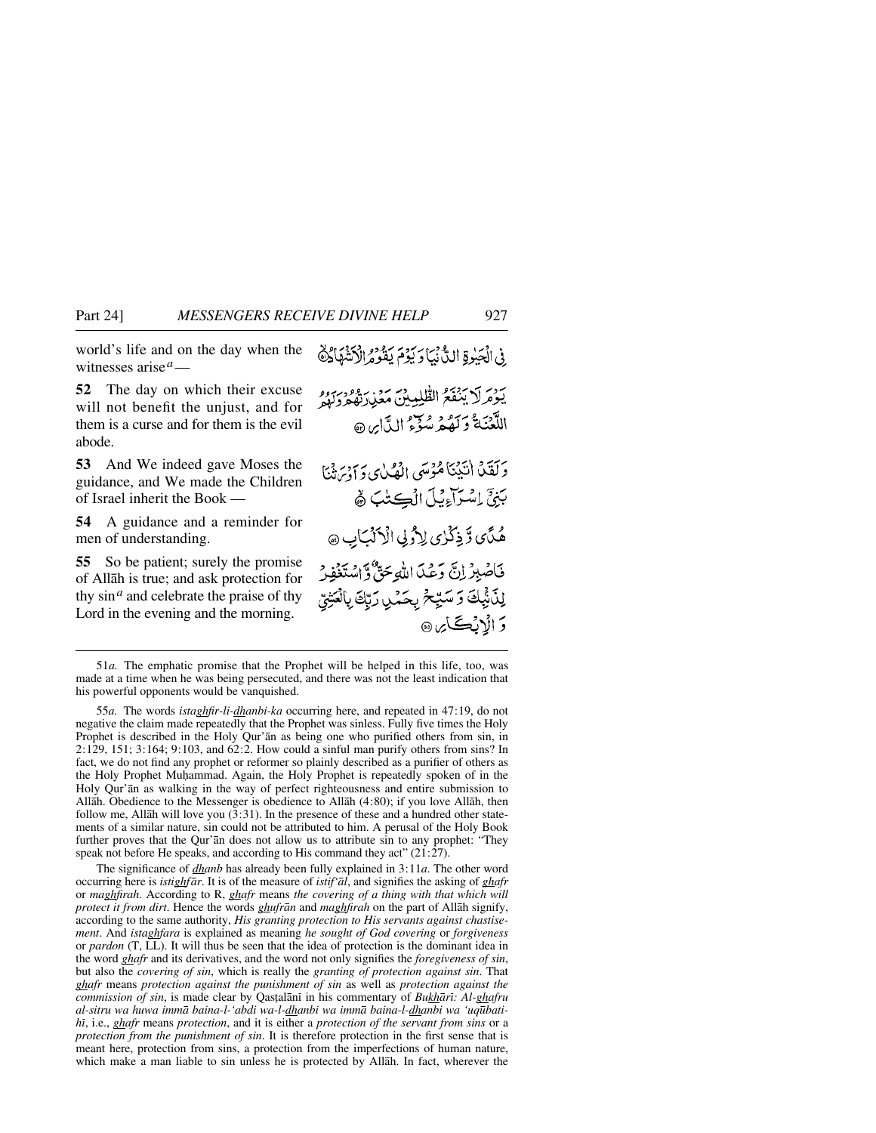world's life and on the day when the witnesses arise*a*—

**52** The day on which their excuse will not benefit the unjust, and for them is a curse and for them is the evil abode.

**53** And We indeed gave Moses the guidance, and We made the Children of Israel inherit the Book —

**54** A guidance and a reminder for men of understanding.

**55** So be patient; surely the promise of Allåh is true; and ask protection for thy sin*<sup>a</sup>* and celebrate the praise of thy Lord in the evening and the morning.

ِ فِي الْجَيْرِةِ اللَّهُ بِيَا وَيَوْمَ يَقُومُ الْأَنْتَهَادُهُ يدرس المجمع الطليبين معرار ووربرو اللَّعۡنَةُ وَكَهُمۡ سُوۡءُ اللَّاسِ @ وَلَقَدْ الْيَيْنَاهُوْسَى الْهُلْي وَأَوْرَثَنْنَا بَنِيٍّ إِسْتِرَاءِيَّلَ الْڪِتُبَ ۾ُ هُدَّى وَّذِكْرُى لِأُولِي الْأَلْبَابِ @ فَاصْبِرْ إِنَّ وَعَلَّمَ اللَّهِ حَقٌّ وَّاسْتَغْفِرْ لِدَٰٓ ثَبِكَ وَ سَيِّحۡ بِحَمْنِ رَبِّكَ بِٱلۡعَنِيِّ **دَ الْاِنْڪَ**ائِرِ @

55*a.* The words *istaghfir-li-dhanbi-ka* occurring here, and repeated in 47:19, do not negative the claim made repeatedly that the Prophet was sinless. Fully five times the Holy Prophet is described in the Holy Qur'ån as being one who purified others from sin, in 2:129, 151; 3:164; 9:103, and 62:2. How could a sinful man purify others from sins? In fact, we do not find any prophet or reformer so plainly described as a purifier of others as the Holy Prophet Muhammad. Again, the Holy Prophet is repeatedly spoken of in the Holy Qur'ån as walking in the way of perfect righteousness and entire submission to Allåh. Obedience to the Messenger is obedience to Allåh (4:80); if you love Allåh, then follow me, Allåh will love you (3:31). In the presence of these and a hundred other statements of a similar nature, sin could not be attributed to him. A perusal of the Holy Book further proves that the Qur'ån does not allow us to attribute sin to any prophet: "They speak not before He speaks, and according to His command they act" (21:27).

The significance of *dhanb* has already been fully explained in 3:11*a*. The other word occurring here is *istighfår*. It is of the measure of *istif'ål*, and signifies the asking of *ghafr* or *maghfirah*. According to R, *ghafr* means *the covering of a thing with that which will protect it from dirt*. Hence the words *ghufrån* and *maghfirah* on the part of Allåh signify, according to the same authority, *His granting protection to His servants against chastisement*. And *istaghfara* is explained as meaning *he sought of God covering* or *forgiveness* or *pardon* (T, LL). It will thus be seen that the idea of protection is the dominant idea in the word *ghafr* and its derivatives, and the word not only signifies the *foregiveness of sin*, but also the *covering of sin*, which is really the *granting of protection against sin*. That *ghafr* means *protection against the punishment of sin* as well as *protection against the commission of sin*, is made clear by Qastalani in his commentary of *Bukhari*: Al-ghafru *al-sitru wa huwa immå baina-l-'abdi wa-l-dhanbi wa immå baina-l-dhanbi wa 'uq∂batihß*, i.e., *ghafr* means *protection*, and it is either a *protection of the servant from sins* or a *protection from the punishment of sin*. It is therefore protection in the first sense that is meant here, protection from sins, a protection from the imperfections of human nature, which make a man liable to sin unless he is protected by Allåh. In fact, wherever the

<sup>51</sup>*a.* The emphatic promise that the Prophet will be helped in this life, too, was made at a time when he was being persecuted, and there was not the least indication that his powerful opponents would be vanquished.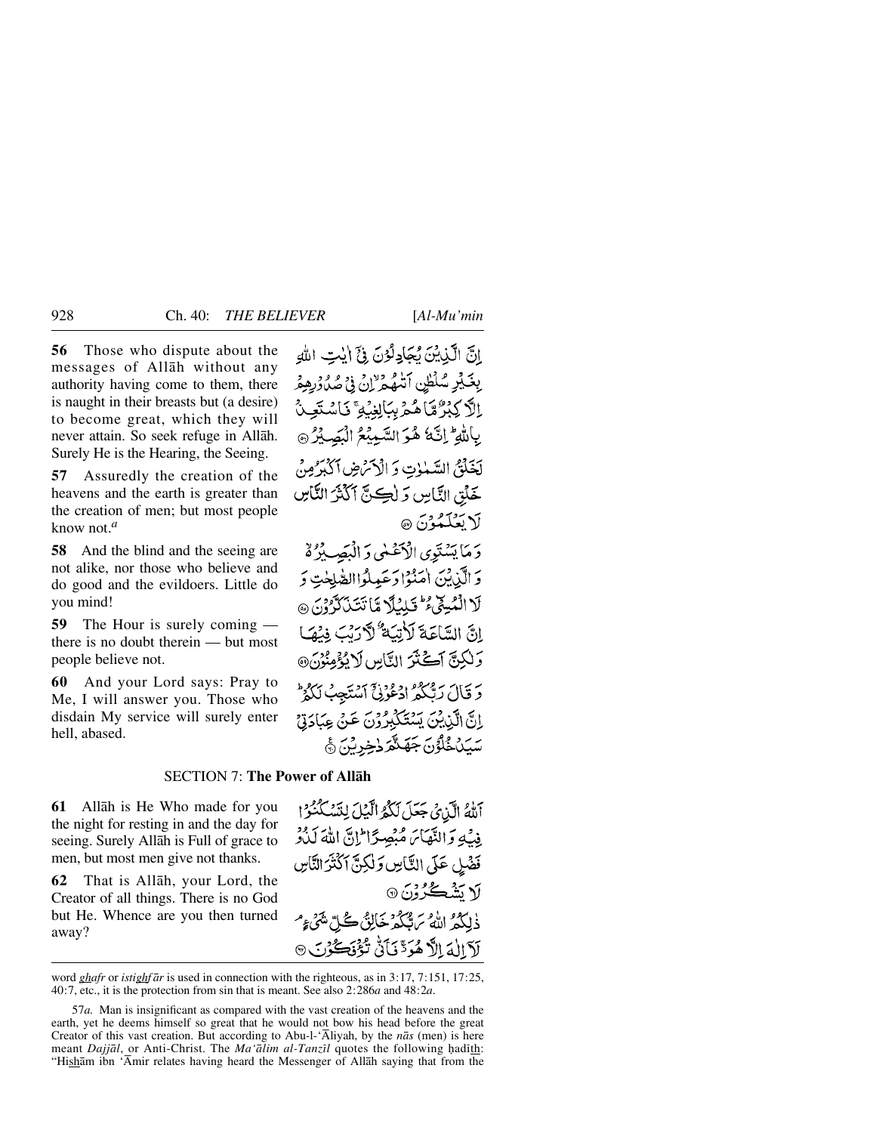**56** Those who dispute about the messages of Allåh without any authority having come to them, there is naught in their breasts but (a desire) to become great, which they will never attain. So seek refuge in Allåh. Surely He is the Hearing, the Seeing.

**57** Assuredly the creation of the heavens and the earth is greater than the creation of men; but most people know not.*<sup>a</sup>*

**58** And the blind and the seeing are not alike, nor those who believe and do good and the evildoers. Little do you mind!

**59** The Hour is surely coming there is no doubt therein — but most people believe not.

**60** And your Lord says: Pray to Me, I will answer you. Those who disdain My service will surely enter hell, abased.

إِنَّ الَّذِيْنَ يُجَادِلُوْنَ فِيَّ إِيْتِ اللَّهِ بِغَيْرِ سُلْطِنِ اَتْنَهُمْ إِنْ فِي صُلُوْرِهِمْ ٳڷٲڮڹۯ۠ۿٵڡؙٛ۠؏ۑڹٳڸۼؙۣؽٷؚٙڮٲۺؾٙڂۣڹٛ بِاللَّهِ ۖ إِنَّ هُوَ السَّمِيْعُ الْبَصِيْرُ ۞ لَخَلَقَى السَّبْنِاتِ وَ الْأَسْ ضِ ٱكْبُرُّ مِنْ خَلْقِ النَّاسِ وَ لِكِنَّ أَكْثَرُ النَّاسِ لَا يَعۡلَمُوۡنَ ۞

وَمَا يَسْتَوِى الْأَعْلَى وَ الْبَصِيْرُةُ وَ الَّذِيْنَ اٰمَنُوۡا دَعَبِيلُوۡاالصَّلِحٰتِ وَ لَا الْمُبِيحٌ فِمَ تَبِيبُكَمْ مِّا تَتَنَاكَرُونَ ۞ إِنَّ السَّاعَةَ لَأَنِّيَهُ ۖ لَأَرَبَّبَ فِيْهَا وَلَٰكِنَّ آَكَتْنَرَ النَّاسِ لَا يُؤْمِنُوْنَ® وَقَالَ رَبُّكُمُ ادْعُونَ ٱسْتَجِبُ لَكُمْ إِنَّ الَّذِينَ يَسْتَكَبِّرُوْنَ عَنْ عِبَادَتِيْ سَيَلْخُلُوْنَ جَهَنَّهُ وَخِرِيْنَ ﴾

### SECTION 7: **The Power of Allåh**

**61** Allåh is He Who made for you the night for resting in and the day for seeing. Surely Allåh is Full of grace to men, but most men give not thanks.

**62** That is Allåh, your Lord, the Creator of all things. There is no God but He. Whence are you then turned away?

آلَّهُ الَّذِي جَعَلَ لَكُمُ الَّيْلَ لِنَسْكُنُوْا فِيْكِ وَالنَّهَاسَ مُبْصِرًا لِنَّ اللَّهَ كَذَٰهِ فَضْلِ عَلَى النَّاسِ وَلٰكِنَّ اَكْثَرَالنَّاسِ **√ تشڪُرُوْنَ ۞** ذلكه الله برن محكم خالقي مجام منتهيء لَاَ إِلَٰہَ إِلَّا هُوَدٌّ فَأَنَّ تُؤْفَكُ وَالَّ

word *ghafr* or *istighf år* is used in connection with the righteous, as in 3:17, 7:151, 17:25, 40:7, etc., it is the protection from sin that is meant. See also 2:286*a* and 48:2*a*.

<sup>57</sup>*a.* Man is insignificant as compared with the vast creation of the heavens and the earth, yet he deems himself so great that he would not bow his head before the great Creator of this vast creation. But according to Abu-l-'Åliyah, by the *nås* (men) is here meant *Dajjāl*, or Anti-Christ. The *Ma'ālim al-Tanzīl* quotes the following hadīth: "Hishåm ibn 'Åmir relates having heard the Messenger of Allåh saying that from the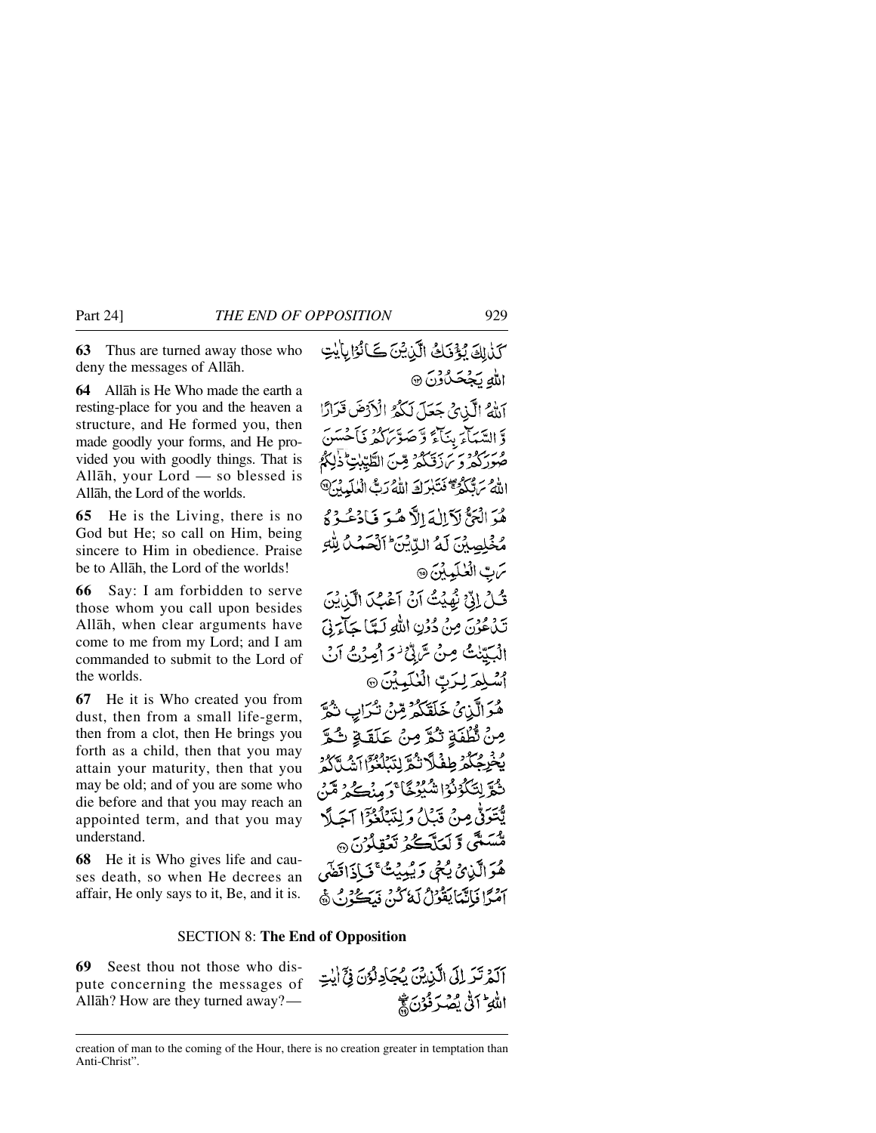**63** Thus are turned away those who deny the messages of Allåh.

**64** Allåh is He Who made the earth a resting-place for you and the heaven a structure, and He formed you, then made goodly your forms, and He provided you with goodly things. That is Allåh, your Lord — so blessed is Allåh, the Lord of the worlds.

**65** He is the Living, there is no God but He; so call on Him, being sincere to Him in obedience. Praise be to Allåh, the Lord of the worlds!

**66** Say: I am forbidden to serve those whom you call upon besides Allåh, when clear arguments have come to me from my Lord; and I am commanded to submit to the Lord of the worlds.

**67** He it is Who created you from dust, then from a small life-germ, then from a clot, then He brings you forth as a child, then that you may attain your maturity, then that you may be old; and of you are some who die before and that you may reach an appointed term, and that you may understand.

**68** He it is Who gives life and causes death, so when He decrees an affair, He only says to it, Be, and it is.

كَذَٰلِكَ يُؤْذَلِكُ الَّذِيْنَ كَانُوْا بِالْيِتِ اللهِ يَجْحَدُوْنَ ۞ آناءُ الَّذِي حَعَلَ لَكُمُ الْأَدْضَ قَرَارًا وَّ السَّيَأْمَرُ بِنَآءً وَّ صَوَّىٰ كَثِيرٌ فَأَحْسَنَ صُورَ وَقَرَّمَ رَبِّكُمْ مِّنَ الطَّيِّبِ تَذٰلِكُمُ اللَّهُ سَيُّكُّرُ مُخَبِّرَكَ اللَّهُ رَبُّ الْعٰلَيْدِينَ هُوَ الْبَيُّ لَأَ الْمَالاً هُوَ فَبَادَعُهُ دَيْ مُخْلِصِيْنَ لَمُّ الدِّيْنَ الْآخَمُ لِلَّٰهِ مَ بِّ الْعٰلَيِينَ ۞ قُبْلُ إِنَّىٰ نُهِيْتُ آنُ آَعْبُ الَّذِيْنَ تَدْعُنُنَ مِنْ دُرُنِ اللَّهِ لَمَّا حَاءَنَىَ الْبَيِّيْنِ صِنْ تَرَابِّيْ فَرَ أَصِرْتُ آنَ أَسْلِمَ لِرَبِّ الْعٰلَيِّينَ @ هُوَالَّذِي خَلَقَكُمْ مِّنْ نْدَابِ نَهُمَّ مِنْ تُطْفَةٍ ثُمَّ مِنْ عَلَقَةٍ ثُمَّ وَفَرِجُكُمْ طِفْلًا تُمَّ لِتَبَاْدُوْٓ آَشُدًّا كُمْ تْقُرِّلِتَكْوُنُوْاشْيُوْجًا ۚ وَمِنْڪُمْ مَنْ يَّتَتَرَقُّ مِنْ قَبَلُ وَلِتَبَلَّغُوْٓ الصَلَّا مستى تركعائكم تعقلون ھ هُوَالَّذِيْ يُحْيِ وَيُبِيِيَتَّ فَبَاذَاقِضَى آصُرًا فَإِنَّهَمَا يَقُولُ لَمَأْكُنُ فَدَكَّرُو فِي هَا

#### SECTION 8: **The End of Opposition**

**69** Seest thou not those who dispute concerning the messages of Allåh? How are they turned away?—



creation of man to the coming of the Hour, there is no creation greater in temptation than Anti-Christ".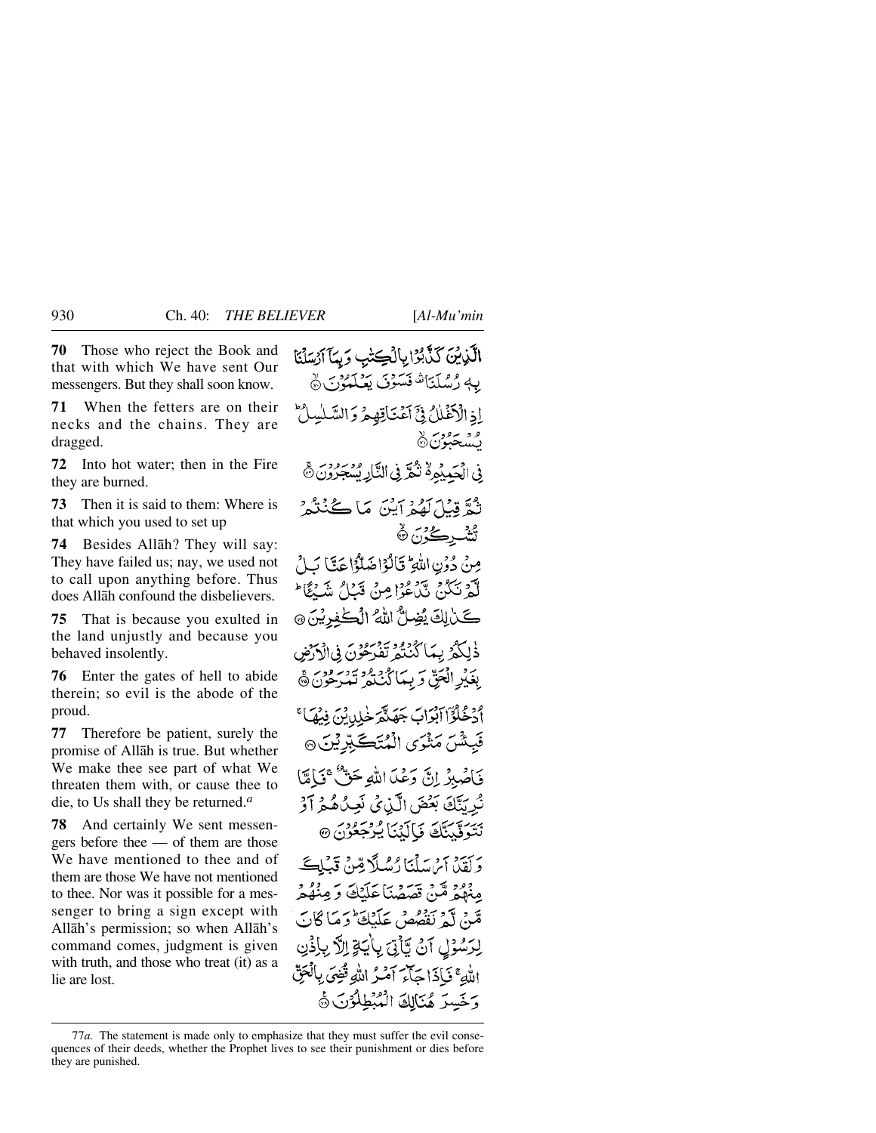**70** Those who reject the Book and that with which We have sent Our messengers. But they shall soon know.

**71** When the fetters are on their necks and the chains. They are dragged.

**72** Into hot water; then in the Fire they are burned.

**73** Then it is said to them: Where is that which you used to set up

**74** Besides Allåh? They will say: They have failed us; nay, we used not to call upon anything before. Thus does Allåh confound the disbelievers.

**75** That is because you exulted in the land unjustly and because you behaved insolently.

**76** Enter the gates of hell to abide therein; so evil is the abode of the proud.

**77** Therefore be patient, surely the promise of Allåh is true. But whether We make thee see part of what We threaten them with, or cause thee to die, to Us shall they be returned.*<sup>a</sup>*

**78** And certainly We sent messengers before thee — of them are those We have mentioned to thee and of them are those We have not mentioned to thee. Nor was it possible for a messenger to bring a sign except with Allåh's permission; so when Allåh's command comes, judgment is given with truth, and those who treat (it) as a lie are lost.

الَّذِينَ كَذَّبُرُا بِالْكِتْبِ وَبِمَآ آرُسَلْنَا يه رُسُلَنَا فَسَوْنَ يَعْلَمُوْنَ ﴾ إذ الْكَفَّلْكُ فِيَّ أَعْنَاقِهِمْ وَاللَّهَ وو سووي د<br>بسجبون& فِي الْجَمِيْمِ لَهُ نُعَرَّ فِي النَّارِ بِسَجَرُونَ ﴾ نْعٌ قِبْلَ لَهُمْ أَيْنَ مَا كُنُنْهُمْ ؿ۠ڎ<sub>ٮ</sub>ڔڪُرُن۞ مِنْ دُوۡنِ اللَّهِ ۖ قَالَٰؤَا ضَلَّٰؤُا حَكَّا كَـٰلُ لَّهُمْ نَكُدُ، نَبْنُ عُوْا مِنْ قَبْلُ شَيْءًا ۖ كَنْ لِكَ يُضِلُّ اللهُ الْكَٰفِرِيْنَ ۞ ذٰلِكُمُ بِيمَا كُنْتُمْ تَفْرَحُوْنَ فِي الْإِرْضِ بِغَيْرِ الْمَحِنّ وَبِيمَا كُنْنَهُ وَيَدْرُونَ ﴾ أَدْخُلُوْٓا آبْدَابَ جَهَنَّهَ خَلِدِيْنَ فِيهَآَ ۚ فَبِئْسٌ مَنْزَى الْمُتَكَبِّرِيْنَ۞ فَأَصْبِرُ إِنَّ وَعُدَااللَّهِ حَقٌّ ۚ فَمَالَةًا نُرِيَّكَ بَعْضَ الَّذِيْ نَعِيْهُمْ أَوْ بِيَسِيَّتِ فَالَّذِيَا فِرْجَعُوْنَ ۞ د آپیزین این دید آب در آب در تعلی مِنْهُمْ مِّنْ قَصَصْنَا عَلَيْكَ وَمِنْهُمْ مَّنْ لَّهُ نَفْصُصْ عَلَيْكَ وَمَا كَانَ لِرَسُوْلِ آنُ تَأْتِيَ بِأَيَاةٍ إِلاَّ بِإِذْنِ اللَّهِ ۚ فَبِإِذَا جَأَءَ آمَٰنُ اللَّهِ قُضِيَ بِالْعَقِّ وَخَسِرَ هُنَالِكَ الْمُبْطِلُوْنَ ﴾

<sup>77</sup>*a.* The statement is made only to emphasize that they must suffer the evil consequences of their deeds, whether the Prophet lives to see their punishment or dies before they are punished.